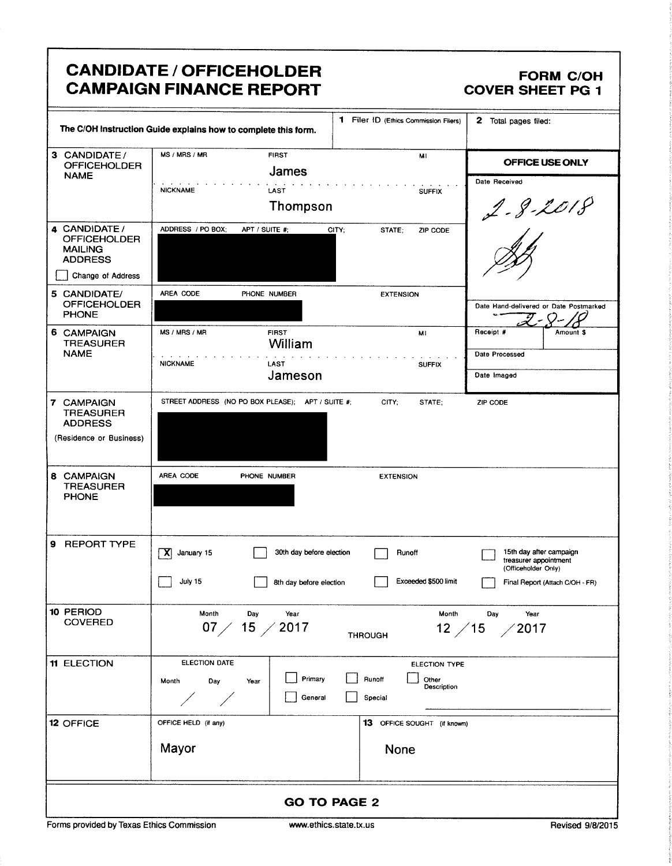|                                                                                               | <b>CANDIDATE / OFFICEHOLDER</b><br><b>CAMPAIGN FINANCE REPORT</b>                                       |                                                     |                                                            | <b>FORM C/OH</b><br><b>COVER SHEET PG 1</b>                                                                |  |
|-----------------------------------------------------------------------------------------------|---------------------------------------------------------------------------------------------------------|-----------------------------------------------------|------------------------------------------------------------|------------------------------------------------------------------------------------------------------------|--|
|                                                                                               | The C/OH Instruction Guide explains how to complete this form.                                          |                                                     | 1 Filer ID (Ethics Commission Filers)                      | 2 Total pages filed:                                                                                       |  |
| 3 CANDIDATE/<br><b>OFFICEHOLDER</b>                                                           | MS / MRS / MR                                                                                           | <b>FIRST</b><br>James                               | MI                                                         | OFFICE USE ONLY                                                                                            |  |
| <b>NAME</b>                                                                                   | <b>NICKNAME</b>                                                                                         | LAST<br>Thompson                                    | <b>SUFFIX</b>                                              | Date Received<br>$2 - 8 - 2018$                                                                            |  |
| 4 CANDIDATE /<br><b>OFFICEHOLDER</b><br><b>MAILING</b><br><b>ADDRESS</b><br>Change of Address | ADDRESS / PO BOX;                                                                                       | APT / SUITE #;<br>CITY;                             | STATE;<br>ZIP CODE                                         |                                                                                                            |  |
| 5 CANDIDATE/<br><b>OFFICEHOLDER</b><br><b>PHONE</b>                                           | AREA CODE                                                                                               | PHONE NUMBER                                        | <b>EXTENSION</b>                                           | Date Hand-delivered or Date Postmarked                                                                     |  |
| 6 CAMPAIGN<br><b>TREASURER</b>                                                                | MS / MRS / MR                                                                                           | <b>FIRST</b><br>William                             | MI                                                         | Receipt #<br>Amount \$                                                                                     |  |
| <b>NAME</b>                                                                                   | <b>NICKNAME</b>                                                                                         | LAST<br>Jameson                                     | <b>SUFFIX</b>                                              | Date Processed<br>Date Imaged                                                                              |  |
| 7 CAMPAIGN<br><b>TREASURER</b><br><b>ADDRESS</b><br>(Residence or Business)                   | STREET ADDRESS (NO PO BOX PLEASE); APT / SUITE #;                                                       |                                                     | CITY:<br>STATE:                                            | ZIP CODE                                                                                                   |  |
| 8 CAMPAIGN<br><b>TREASURER</b><br><b>PHONE</b>                                                | AREA CODE                                                                                               | PHONE NUMBER                                        | <b>EXTENSION</b>                                           |                                                                                                            |  |
| 9<br><b>REPORT TYPE</b>                                                                       | X<br>January 15<br>July 15                                                                              | 30th day before election<br>8th day before election | Runoff<br>Exceeded \$500 limit                             | 15th day after campaign<br>treasurer appointment<br>(Officeholder Only)<br>Final Report (Attach C/OH - FR) |  |
| 10 PERIOD<br><b>COVERED</b>                                                                   | Month<br>Day<br>Month<br>Year<br>Day<br>Year<br>07 $/$ 15 $/$ 2017<br>12 / 15<br>2017<br><b>THROUGH</b> |                                                     |                                                            |                                                                                                            |  |
| <b>11 ELECTION</b>                                                                            | <b>ELECTION DATE</b><br>Month<br>Day<br>Year                                                            | Primary<br>General                                  | ELECTION TYPE<br>Runoff<br>Other<br>Description<br>Special |                                                                                                            |  |
| <b>12 OFFICE</b>                                                                              | OFFICE HELD (if any)<br>Mayor                                                                           |                                                     | <b>13</b> OFFICE SOUGHT (if known)<br>None                 |                                                                                                            |  |
| <b>GO TO PAGE 2</b>                                                                           |                                                                                                         |                                                     |                                                            |                                                                                                            |  |

f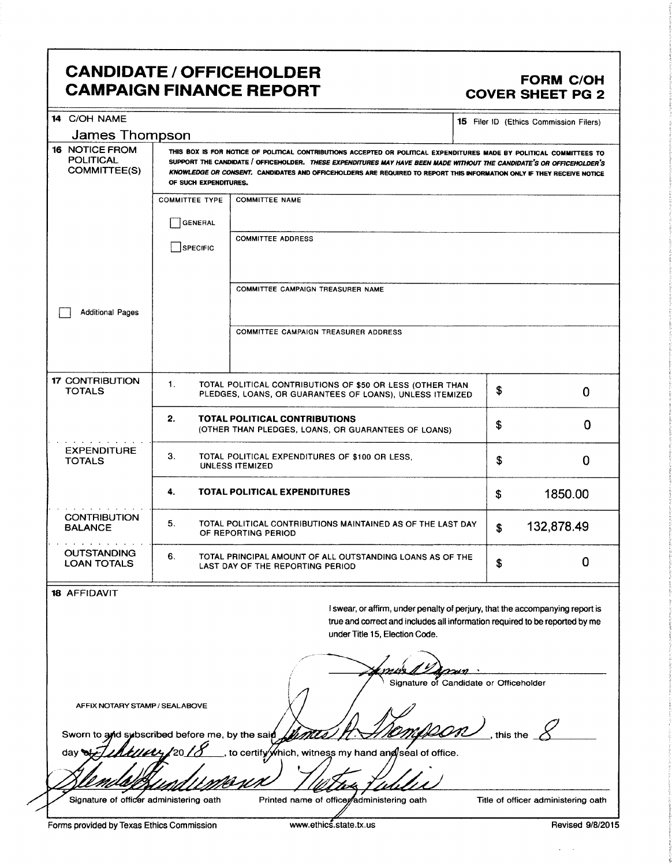## CANDIDATE / OFFICEHOLDER<br>CAMPAIGN FINANCE REPORT CAMPOIGN FORM C/OH **CAMPAIGN FINANCE REPORT**

| 14 C/OH NAME                                                                                                                                      |                                                                                                                                                                                                                                                                                                                                                                                                  |                                                                                                                                                                                                |    | <b>15</b> Filer ID (Ethics Commission Filers) |  |
|---------------------------------------------------------------------------------------------------------------------------------------------------|--------------------------------------------------------------------------------------------------------------------------------------------------------------------------------------------------------------------------------------------------------------------------------------------------------------------------------------------------------------------------------------------------|------------------------------------------------------------------------------------------------------------------------------------------------------------------------------------------------|----|-----------------------------------------------|--|
| James Thompson                                                                                                                                    |                                                                                                                                                                                                                                                                                                                                                                                                  |                                                                                                                                                                                                |    |                                               |  |
| <b>16 NOTICE FROM</b><br><b>POLITICAL</b><br><b>COMMITTEE(S)</b>                                                                                  | THIS BOX IS FOR NOTICE OF POLITICAL CONTRIBUTIONS ACCEPTED OR POLITICAL EXPENDITURES MADE BY POLITICAL COMMITTEES TO<br>SUPPORT THE CANDIDATE / OFFICEHOLDER. THESE EXPENDITURES MAY HAVE BEEN MADE WITHOUT THE CANDIDATE'S OR OFFICEHOLDER'S<br>KNOWLEDGE OR CONSENT. CANDIDATES AND OFFICEHOLDERS ARE REQUIRED TO REPORT THIS INFORMATION ONLY IF THEY RECEIVE NOTICE<br>OF SUCH EXPENDITURES. |                                                                                                                                                                                                |    |                                               |  |
|                                                                                                                                                   | <b>COMMITTEE TYPE</b>                                                                                                                                                                                                                                                                                                                                                                            | <b>COMMITTEE NAME</b>                                                                                                                                                                          |    |                                               |  |
|                                                                                                                                                   | GENERAL                                                                                                                                                                                                                                                                                                                                                                                          |                                                                                                                                                                                                |    |                                               |  |
|                                                                                                                                                   | SPECIFIC                                                                                                                                                                                                                                                                                                                                                                                         | <b>COMMITTEE ADDRESS</b>                                                                                                                                                                       |    |                                               |  |
|                                                                                                                                                   |                                                                                                                                                                                                                                                                                                                                                                                                  | COMMITTEE CAMPAIGN TREASURER NAME                                                                                                                                                              |    |                                               |  |
| <b>Additional Pages</b>                                                                                                                           |                                                                                                                                                                                                                                                                                                                                                                                                  |                                                                                                                                                                                                |    |                                               |  |
|                                                                                                                                                   |                                                                                                                                                                                                                                                                                                                                                                                                  | COMMITTEE CAMPAIGN TREASURER ADDRESS                                                                                                                                                           |    |                                               |  |
| <b>17 CONTRIBUTION</b><br><b>TOTALS</b>                                                                                                           | 1.<br>TOTAL POLITICAL CONTRIBUTIONS OF \$50 OR LESS (OTHER THAN<br>PLEDGES, LOANS, OR GUARANTEES OF LOANS), UNLESS ITEMIZED                                                                                                                                                                                                                                                                      |                                                                                                                                                                                                | \$ | 0                                             |  |
|                                                                                                                                                   | 2.<br>TOTAL POLITICAL CONTRIBUTIONS<br>\$<br>(OTHER THAN PLEDGES, LOANS, OR GUARANTEES OF LOANS)                                                                                                                                                                                                                                                                                                 |                                                                                                                                                                                                |    | 0                                             |  |
| <b>EXPENDITURE</b><br>3.<br>TOTAL POLITICAL EXPENDITURES OF \$100 OR LESS,<br><b>TOTALS</b><br><b>UNLESS ITEMIZED</b>                             |                                                                                                                                                                                                                                                                                                                                                                                                  |                                                                                                                                                                                                | \$ | 0                                             |  |
|                                                                                                                                                   | 4.<br>TOTAL POLITICAL EXPENDITURES<br>\$                                                                                                                                                                                                                                                                                                                                                         |                                                                                                                                                                                                |    | 1850.00                                       |  |
| <b>CONTRIBUTION</b><br><b>BALANCE</b>                                                                                                             | 5.                                                                                                                                                                                                                                                                                                                                                                                               | TOTAL POLITICAL CONTRIBUTIONS MAINTAINED AS OF THE LAST DAY<br>132,878.49<br>\$<br>OF REPORTING PERIOD                                                                                         |    |                                               |  |
| <b>OUTSTANDING</b><br><b>LOAN TOTALS</b>                                                                                                          | 6.                                                                                                                                                                                                                                                                                                                                                                                               | TOTAL PRINCIPAL AMOUNT OF ALL OUTSTANDING LOANS AS OF THE<br>LAST DAY OF THE REPORTING PERIOD                                                                                                  | \$ | 0                                             |  |
| <b>18 AFFIDAVIT</b>                                                                                                                               |                                                                                                                                                                                                                                                                                                                                                                                                  |                                                                                                                                                                                                |    |                                               |  |
|                                                                                                                                                   |                                                                                                                                                                                                                                                                                                                                                                                                  | I swear, or affirm, under penalty of perjury, that the accompanying report is<br>true and correct and includes all information required to be reported by me<br>under Title 15, Election Code. |    |                                               |  |
|                                                                                                                                                   |                                                                                                                                                                                                                                                                                                                                                                                                  |                                                                                                                                                                                                |    |                                               |  |
| Signature of Candidate or Officeholder<br>AFFIX NOTARY STAMP / SEALABOVE<br>this the $\sqrt{ }$<br>Sworn to and subscribed before me, by the said |                                                                                                                                                                                                                                                                                                                                                                                                  |                                                                                                                                                                                                |    |                                               |  |
| 20<br>to certify/which, witness my hand ang/seal of office.<br>day G                                                                              |                                                                                                                                                                                                                                                                                                                                                                                                  |                                                                                                                                                                                                |    |                                               |  |
|                                                                                                                                                   |                                                                                                                                                                                                                                                                                                                                                                                                  |                                                                                                                                                                                                |    |                                               |  |
| Signature of officer administering oath                                                                                                           |                                                                                                                                                                                                                                                                                                                                                                                                  | Printed name of officer administering oath                                                                                                                                                     |    | Title of officer administering oath           |  |

 $\hat{\mathbf{r}} = \hat{\mathbf{r}}$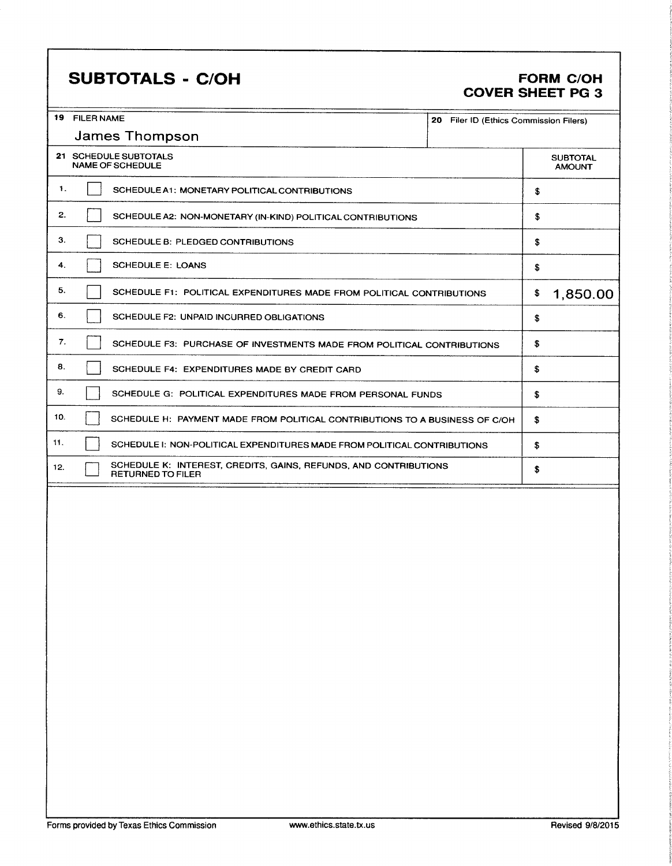# SUBTOTALS - C/OH FORM C/OH

# COVER SHEET PG 3

|     | 19 FILER NAME<br>20 Filer ID (Ethics Commission Filers) |                                                                                              |  |                    |                                  |
|-----|---------------------------------------------------------|----------------------------------------------------------------------------------------------|--|--------------------|----------------------------------|
|     | <b>James Thompson</b>                                   |                                                                                              |  |                    |                                  |
|     |                                                         | 21 SCHEDULE SUBTOTALS<br><b>NAME OF SCHEDULE</b>                                             |  |                    | <b>SUBTOTAL</b><br><b>AMOUNT</b> |
| 1.  |                                                         | SCHEDULE A1: MONETARY POLITICAL CONTRIBUTIONS                                                |  | \$                 |                                  |
| 2.  |                                                         | SCHEDULE A2: NON-MONETARY (IN-KIND) POLITICAL CONTRIBUTIONS                                  |  | \$                 |                                  |
| З.  |                                                         | SCHEDULE B: PLEDGED CONTRIBUTIONS                                                            |  | \$                 |                                  |
| 4.  |                                                         | <b>SCHEDULE E: LOANS</b>                                                                     |  | \$                 |                                  |
| 5.  |                                                         | SCHEDULE F1: POLITICAL EXPENDITURES MADE FROM POLITICAL CONTRIBUTIONS                        |  | \$                 | 1,850.00                         |
| 6.  |                                                         | SCHEDULE F2: UNPAID INCURRED OBLIGATIONS                                                     |  | \$                 |                                  |
| 7.  |                                                         | SCHEDULE F3: PURCHASE OF INVESTMENTS MADE FROM POLITICAL CONTRIBUTIONS                       |  | \$                 |                                  |
| 8.  |                                                         | SCHEDULE F4: EXPENDITURES MADE BY CREDIT CARD                                                |  | \$                 |                                  |
| 9.  |                                                         | SCHEDULE G: POLITICAL EXPENDITURES MADE FROM PERSONAL FUNDS                                  |  | $\pmb{\mathbb{S}}$ |                                  |
| 10. |                                                         | SCHEDULE H: PAYMENT MADE FROM POLITICAL CONTRIBUTIONS TO A BUSINESS OF C/OH                  |  | \$                 |                                  |
| 11. |                                                         | SCHEDULE I: NON-POLITICAL EXPENDITURES MADE FROM POLITICAL CONTRIBUTIONS                     |  | \$.                |                                  |
| 12. |                                                         | SCHEDULE K: INTEREST, CREDITS, GAINS, REFUNDS, AND CONTRIBUTIONS<br><b>RETURNED TO FILER</b> |  | \$                 |                                  |
|     |                                                         |                                                                                              |  |                    |                                  |
|     |                                                         |                                                                                              |  |                    |                                  |
|     |                                                         |                                                                                              |  |                    |                                  |
|     |                                                         |                                                                                              |  |                    |                                  |
|     |                                                         |                                                                                              |  |                    |                                  |
|     |                                                         |                                                                                              |  |                    |                                  |